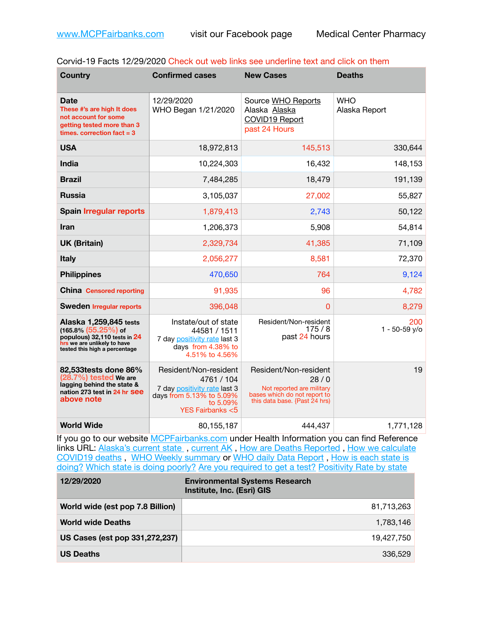| Corvid-19 Facts 12/29/2020 Check out web links see underline text and click on them |  |  |  |
|-------------------------------------------------------------------------------------|--|--|--|
|-------------------------------------------------------------------------------------|--|--|--|

| <b>Country</b>                                                                                                                                    | <b>Confirmed cases</b>                                                                                                                    | <b>New Cases</b>                                                                                                            | <b>Deaths</b>               |
|---------------------------------------------------------------------------------------------------------------------------------------------------|-------------------------------------------------------------------------------------------------------------------------------------------|-----------------------------------------------------------------------------------------------------------------------------|-----------------------------|
| Date<br>These #'s are high It does<br>not account for some<br>getting tested more than 3<br>times, correction fact $=$ 3                          | 12/29/2020<br>WHO Began 1/21/2020                                                                                                         | Source WHO Reports<br>Alaska Alaska<br>COVID19 Report<br>past 24 Hours                                                      | <b>WHO</b><br>Alaska Report |
| <b>USA</b>                                                                                                                                        | 18,972,813                                                                                                                                | 145,513                                                                                                                     | 330,644                     |
| <b>India</b>                                                                                                                                      | 10,224,303                                                                                                                                | 16,432                                                                                                                      | 148,153                     |
| <b>Brazil</b>                                                                                                                                     | 7,484,285                                                                                                                                 | 18,479                                                                                                                      | 191,139                     |
| <b>Russia</b>                                                                                                                                     | 3,105,037                                                                                                                                 | 27,002                                                                                                                      | 55,827                      |
| <b>Spain Irregular reports</b>                                                                                                                    | 1,879,413                                                                                                                                 | 2,743                                                                                                                       | 50,122                      |
| Iran                                                                                                                                              | 1,206,373                                                                                                                                 | 5,908                                                                                                                       | 54,814                      |
| <b>UK (Britain)</b>                                                                                                                               | 2,329,734                                                                                                                                 | 41,385                                                                                                                      | 71,109                      |
| <b>Italy</b>                                                                                                                                      | 2,056,277                                                                                                                                 | 8,581                                                                                                                       | 72,370                      |
| <b>Philippines</b>                                                                                                                                | 470,650                                                                                                                                   | 764                                                                                                                         | 9,124                       |
| <b>China Censored reporting</b>                                                                                                                   | 91,935                                                                                                                                    | 96                                                                                                                          | 4,782                       |
| <b>Sweden Irregular reports</b>                                                                                                                   | 396,048                                                                                                                                   | $\Omega$                                                                                                                    | 8,279                       |
| Alaska 1,259,845 tests<br>$(165.8\%)(55.25\%)$ of<br>populous) 32,110 tests in 24<br>hrs we are unlikely to have<br>tested this high a percentage | Instate/out of state<br>44581 / 1511<br>7 day positivity rate last 3<br>days from 4.38% to<br>4.51% to 4.56%                              | Resident/Non-resident<br>175/8<br>past 24 hours                                                                             | 200<br>1 - 50-59 y/o        |
| 82,533 tests done 86%<br>$(28.7%)$ tested We are<br>lagging behind the state &<br>nation 273 test in 24 hr See<br>above note                      | Resident/Non-resident<br>4761 / 104<br>7 day positivity rate last 3<br>days from 5.13% to 5.09%<br>to 5.09%<br><b>YES Fairbanks &lt;5</b> | Resident/Non-resident<br>28/0<br>Not reported are military<br>bases which do not report to<br>this data base. {Past 24 hrs) | 19                          |
| <b>World Wide</b>                                                                                                                                 | 80,155,187                                                                                                                                | 444,437                                                                                                                     | 1,771,128                   |

If you go to our website [MCPFairbanks.com](http://www.MCPFairbanks.com) under Health Information you can find Reference links URL: Alaska's current state, current AK, [How are Deaths Reported](http://dhss.alaska.gov/dph/Epi/id/Pages/COVID-19/deathcounts.aspx), How we calculate [COVID19 deaths](https://coronavirus-response-alaska-dhss.hub.arcgis.com/search?collection=Document&groupIds=41ccb3344ebc4bd682c74073eba21f42) , [WHO Weekly summary](http://www.who.int) or [WHO daily Data Report](https://covid19.who.int/table) , [How is each state is](https://www.msn.com/en-us/news/us/state-by-state-coronavirus-news/ar-BB13E1PX?fbclid=IwAR0_OBJH7lSyTN3ug_MsOeFnNgB1orTa9OBgilKJ7dhnwlVvHEsptuKkj1c)  [doing?](https://www.msn.com/en-us/news/us/state-by-state-coronavirus-news/ar-BB13E1PX?fbclid=IwAR0_OBJH7lSyTN3ug_MsOeFnNgB1orTa9OBgilKJ7dhnwlVvHEsptuKkj1c) [Which state is doing poorly?](https://bestlifeonline.com/covid-outbreak-your-state/?utm_source=nsltr&utm_medium=email&utm_content=covid-outbreak-your-state&utm_campaign=launch) [Are you required to get a test?](http://dhss.alaska.gov/dph/Epi/id/SiteAssets/Pages/HumanCoV/Whattodoafteryourtest.pdf) [Positivity Rate by state](https://coronavirus.jhu.edu/testing/individual-states/alaska)

| 12/29/2020                       | <b>Environmental Systems Research</b><br>Institute, Inc. (Esri) GIS |
|----------------------------------|---------------------------------------------------------------------|
| World wide (est pop 7.8 Billion) | 81,713,263                                                          |
| <b>World wide Deaths</b>         | 1,783,146                                                           |
| US Cases (est pop 331,272,237)   | 19,427,750                                                          |
| <b>US Deaths</b>                 | 336,529                                                             |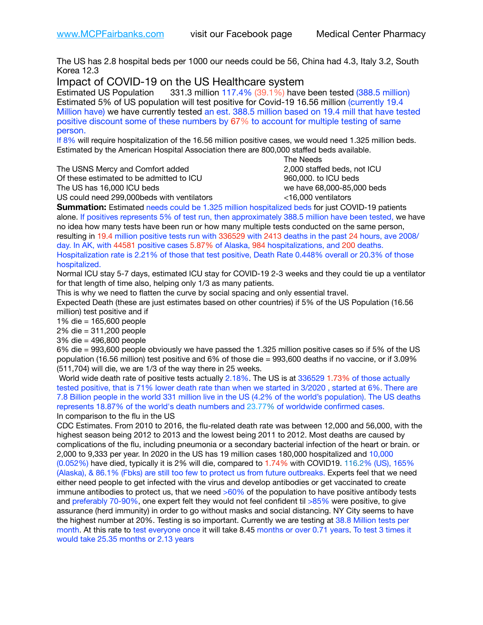The US has 2.8 hospital beds per 1000 our needs could be 56, China had 4.3, Italy 3.2, South Korea 12.3

Impact of COVID-19 on the US Healthcare system

Estimated US Population 331.3 million 117.4% (39.1%) have been tested (388.5 million) Estimated 5% of US population will test positive for Covid-19 16.56 million (currently 19.4 Million have) we have currently tested an est. 388.5 million based on 19.4 mill that have tested positive discount some of these numbers by 67% to account for multiple testing of same person.

If 8% will require hospitalization of the 16.56 million positive cases, we would need 1.325 million beds. Estimated by the American Hospital Association there are 800,000 staffed beds available. 

The USNS Mercy and Comfort added 2,000 staffed beds, not ICU

Of these estimated to be admitted to ICU 960,000. to ICU beds The US has 16,000 ICU beds we have 68,000-85,000 beds ve have 68,000-85,000 beds

 The Needs US could need 299,000beds with ventilators <16,000 ventilators

**Summation:** Estimated needs could be 1.325 million hospitalized beds for just COVID-19 patients alone. If positives represents 5% of test run, then approximately 388.5 million have been tested, we have no idea how many tests have been run or how many multiple tests conducted on the same person, resulting in 19.4 million positive tests run with 336529 with 2413 deaths in the past 24 hours, ave 2008/ day. In AK, with 44581 positive cases 5.87% of Alaska, 984 hospitalizations, and 200 deaths. Hospitalization rate is 2.21% of those that test positive, Death Rate 0.448% overall or 20.3% of those hospitalized.

Normal ICU stay 5-7 days, estimated ICU stay for COVID-19 2-3 weeks and they could tie up a ventilator for that length of time also, helping only 1/3 as many patients.

This is why we need to flatten the curve by social spacing and only essential travel.

Expected Death (these are just estimates based on other countries) if 5% of the US Population (16.56 million) test positive and if

1% die = 165,600 people

2% die = 311,200 people

3% die = 496,800 people

6% die = 993,600 people obviously we have passed the 1.325 million positive cases so if 5% of the US population (16.56 million) test positive and 6% of those die = 993,600 deaths if no vaccine, or if 3.09% (511,704) will die, we are 1/3 of the way there in 25 weeks.

 World wide death rate of positive tests actually 2.18%. The US is at 336529 1.73% of those actually tested positive, that is 71% lower death rate than when we started in 3/2020 , started at 6%. There are 7.8 Billion people in the world 331 million live in the US (4.2% of the world's population). The US deaths represents 18.87% of the world's death numbers and 23.77% of worldwide confirmed cases. In comparison to the flu in the US

CDC Estimates. From 2010 to 2016, the flu-related death rate was between 12,000 and 56,000, with the highest season being 2012 to 2013 and the lowest being 2011 to 2012. Most deaths are caused by complications of the flu, including pneumonia or a secondary bacterial infection of the heart or brain. or 2,000 to 9,333 per year. In 2020 in the US has 19 million cases 180,000 hospitalized and 10,000 (0.052%) have died, typically it is 2% will die, compared to 1.74% with COVID19. 116.2% (US), 165% (Alaska), & 86.1% (Fbks) are still too few to protect us from future outbreaks. Experts feel that we need either need people to get infected with the virus and develop antibodies or get vaccinated to create immune antibodies to protect us, that we need  $>60\%$  of the population to have positive antibody tests and preferably 70-90%, one expert felt they would not feel confident til >85% were positive, to give assurance (herd immunity) in order to go without masks and social distancing. NY City seems to have the highest number at 20%. Testing is so important. Currently we are testing at 38.8 Million tests per month. At this rate to test everyone once it will take 8.45 months or over 0.71 years. To test 3 times it would take 25.35 months or 2.13 years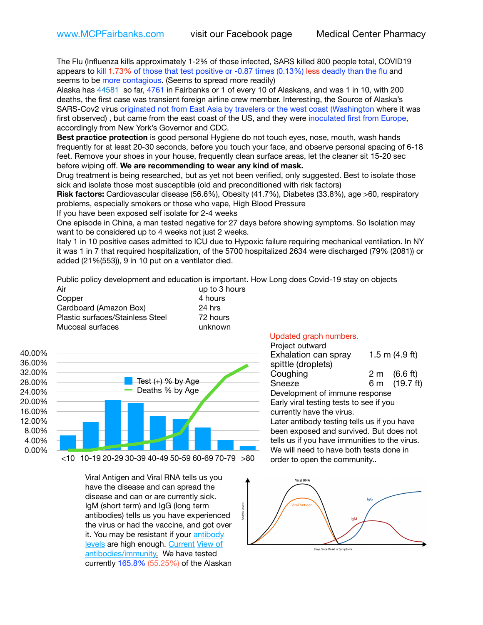The Flu (Influenza kills approximately 1-2% of those infected, SARS killed 800 people total, COVID19 appears to kill 1.73% of those that test positive or -0.87 times (0.13%) less deadly than the flu and seems to be more contagious. (Seems to spread more readily)

Alaska has 44581 so far, 4761 in Fairbanks or 1 of every 10 of Alaskans, and was 1 in 10, with 200 deaths, the first case was transient foreign airline crew member. Interesting, the Source of Alaska's SARS-Cov2 virus originated not from East Asia by travelers or the west coast (Washington where it was first observed) , but came from the east coast of the US, and they were inoculated first from Europe, accordingly from New York's Governor and CDC.

**Best practice protection** is good personal Hygiene do not touch eyes, nose, mouth, wash hands frequently for at least 20-30 seconds, before you touch your face, and observe personal spacing of 6-18 feet. Remove your shoes in your house, frequently clean surface areas, let the cleaner sit 15-20 sec before wiping off. **We are recommending to wear any kind of mask.**

Drug treatment is being researched, but as yet not been verified, only suggested. Best to isolate those sick and isolate those most susceptible (old and preconditioned with risk factors)

**Risk factors:** Cardiovascular disease (56.6%), Obesity (41.7%), Diabetes (33.8%), age >60, respiratory problems, especially smokers or those who vape, High Blood Pressure

If you have been exposed self isolate for 2-4 weeks

One episode in China, a man tested negative for 27 days before showing symptoms. So Isolation may want to be considered up to 4 weeks not just 2 weeks.

Italy 1 in 10 positive cases admitted to ICU due to Hypoxic failure requiring mechanical ventilation. In NY it was 1 in 7 that required hospitalization, of the 5700 hospitalized 2634 were discharged (79% (2081)) or added (21%(553)), 9 in 10 put on a ventilator died.

Public policy development and education is important. How Long does Covid-19 stay on objects

| Air                              | up to 3 hours |
|----------------------------------|---------------|
| Copper                           | 4 hours       |
| Cardboard (Amazon Box)           | 24 hrs        |
| Plastic surfaces/Stainless Steel | 72 hours      |
| Mucosal surfaces                 | unknown       |



Viral Antigen and Viral RNA tells us you have the disease and can spread the disease and can or are currently sick. IgM (short term) and IgG (long term antibodies) tells us you have experienced the virus or had the vaccine, and got over it. You may be resistant if your [antibody](https://www.cdc.gov/coronavirus/2019-ncov/lab/resources/antibody-tests.html)  [levels](https://www.cdc.gov/coronavirus/2019-ncov/lab/resources/antibody-tests.html) are high enough. [Current](https://l.facebook.com/l.php?u=https://www.itv.com/news/2020-10-26/covid-19-antibody-levels-reduce-over-time-study-finds?fbclid=IwAR3Dapzh1qIH1EIOdUQI2y8THf7jfA4KBCaJz8Qg-8xe1YsrR4nsAHDIXSY&h=AT30nut8pkqp0heVuz5W2rT2WFFm-2Ab52BsJxZZCNlGsX58IpPkuVEPULbIUV_M16MAukx1Kwb657DPXxsgDN1rpOQ4gqBtQsmVYiWpnHPJo2RQsU6CPMd14lgLnQnFWxfVi6zvmw&__tn__=-UK-R&c%5B0%5D=AT1GaRAfR_nGAyqcn7TI1-PpvqOqEKXHnz6TDWvRStMnOSH7boQDvTiwTOc6VId9UES6LKiOmm2m88wKCoolkJyOFvakt2Z1Mw8toYWGGoWW23r0MNVBl7cYJXB_UOvGklNHaNnaNr1_S7NhT3BSykNOBg) [View of](https://www.livescience.com/antibodies.html)  [antibodies/immunity](https://www.livescience.com/antibodies.html)[.](https://www.itv.com/news/2020-10-26/covid-19-antibody-levels-reduce-over-time-study-finds) We have tested currently 165.8% (55.25%) of the Alaskan

## Updated graph numbers.

| Project outward<br>Exhalation can spray<br>spittle (droplets) | $1.5$ m $(4.9$ ft) |
|---------------------------------------------------------------|--------------------|
| Coughing                                                      | 2 m (6.6 ft)       |
| Sneeze                                                        | 6 m (19.7 ft)      |
| Development of immune response                                |                    |
| Early viral testing tests to see if you                       |                    |
| currently have the virus.                                     |                    |
| Later antibody testing tells us if you have                   |                    |
| been exposed and survived. But does not                       |                    |
| tells us if you have immunities to the virus.                 |                    |
| We will need to have both tests done in                       |                    |
| order to open the community                                   |                    |

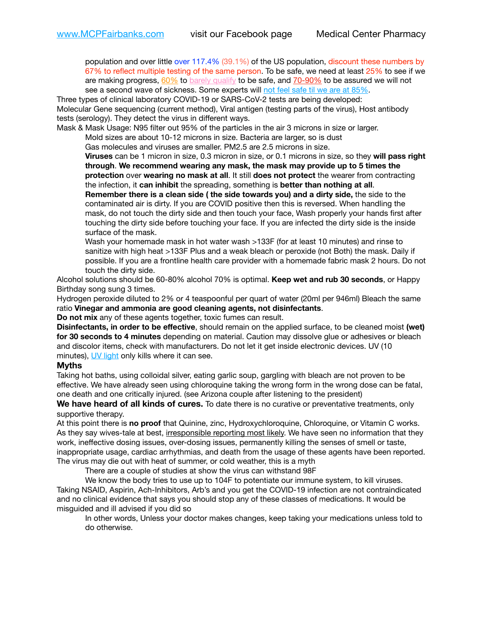population and over little over 117.4% (39.1%) of the US population, discount these numbers by 67% to reflect multiple testing of the same person. To be safe, we need at least 25% to see if we are making progress,  $60\%$  to [barely qualify](https://www.nature.com/articles/d41586-020-02948-4) to be safe, and  $70-90\%$  to be assured we will not see a second wave of sickness. Some experts will [not feel safe til we are at 85%.](https://www.bannerhealth.com/healthcareblog/teach-me/what-is-herd-immunity)

Three types of clinical laboratory COVID-19 or SARS-CoV-2 tests are being developed: Molecular Gene sequencing (current method), Viral antigen (testing parts of the virus), Host antibody tests (serology). They detect the virus in different ways.

Mask & Mask Usage: N95 filter out 95% of the particles in the air 3 microns in size or larger.

Mold sizes are about 10-12 microns in size. Bacteria are larger, so is dust

Gas molecules and viruses are smaller. PM2.5 are 2.5 microns in size.

**Viruses** can be 1 micron in size, 0.3 micron in size, or 0.1 microns in size, so they **will pass right through**. **We recommend wearing any mask, the mask may provide up to 5 times the protection** over **wearing no mask at all**. It still **does not protect** the wearer from contracting the infection, it **can inhibit** the spreading, something is **better than nothing at all**.

**Remember there is a clean side ( the side towards you) and a dirty side,** the side to the contaminated air is dirty. If you are COVID positive then this is reversed. When handling the mask, do not touch the dirty side and then touch your face, Wash properly your hands first after touching the dirty side before touching your face. If you are infected the dirty side is the inside surface of the mask.

Wash your homemade mask in hot water wash >133F (for at least 10 minutes) and rinse to sanitize with high heat >133F Plus and a weak bleach or peroxide (not Both) the mask. Daily if possible. If you are a frontline health care provider with a homemade fabric mask 2 hours. Do not touch the dirty side.

Alcohol solutions should be 60-80% alcohol 70% is optimal. **Keep wet and rub 30 seconds**, or Happy Birthday song sung 3 times.

Hydrogen peroxide diluted to 2% or 4 teaspoonful per quart of water (20ml per 946ml) Bleach the same ratio **Vinegar and ammonia are good cleaning agents, not disinfectants**.

**Do not mix** any of these agents together, toxic fumes can result.

**Disinfectants, in order to be effective**, should remain on the applied surface, to be cleaned moist **(wet) for 30 seconds to 4 minutes** depending on material. Caution may dissolve glue or adhesives or bleach and discolor items, check with manufacturers. Do not let it get inside electronic devices. UV (10 minutes), [UV light](http://www.docreviews.me/best-uv-boxes-2020/?fbclid=IwAR3bvFtXB48OoBBSvYvTEnKuHNPbipxM6jUo82QUSw9wckxjC7wwRZWabGw) only kills where it can see.

## **Myths**

Taking hot baths, using colloidal silver, eating garlic soup, gargling with bleach are not proven to be effective. We have already seen using chloroquine taking the wrong form in the wrong dose can be fatal, one death and one critically injured. (see Arizona couple after listening to the president)

**We have heard of all kinds of cures.** To date there is no curative or preventative treatments, only supportive therapy.

At this point there is **no proof** that Quinine, zinc, Hydroxychloroquine, Chloroquine, or Vitamin C works. As they say wives-tale at best, irresponsible reporting most likely. We have seen no information that they work, ineffective dosing issues, over-dosing issues, permanently killing the senses of smell or taste, inappropriate usage, cardiac arrhythmias, and death from the usage of these agents have been reported. The virus may die out with heat of summer, or cold weather, this is a myth

There are a couple of studies at show the virus can withstand 98F

We know the body tries to use up to 104F to potentiate our immune system, to kill viruses. Taking NSAID, Aspirin, Ach-Inhibitors, Arb's and you get the COVID-19 infection are not contraindicated and no clinical evidence that says you should stop any of these classes of medications. It would be misguided and ill advised if you did so

In other words, Unless your doctor makes changes, keep taking your medications unless told to do otherwise.